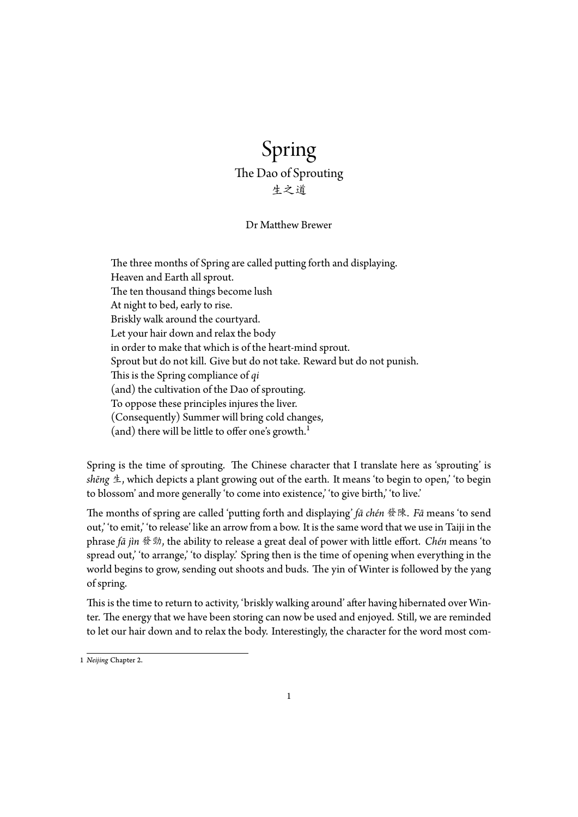## Spring The Dao of Sprouting 生之道

## Dr Matthew Brewer

The three months of Spring are called putting forth and displaying. Heaven and Earth all sprout. The ten thousand things become lush At night to bed, early to rise. Briskly walk around the courtyard. Let your hair down and relax the body in order to make that which is of the heart-mind sprout. Sprout but do not kill. Give but do not take. Reward but do not punish. This is the Spring compliance of *qi* (and) the cultivation of the Dao of sprouting. To oppose these principles injures the liver. (Consequently) Summer will bring cold changes, (and) there will be little to offer one's growth.<sup>1</sup>

Spring is the time of sprouting. The Chinese character that I translate here as 'sprouting' is *shēng* 生, which depicts a plant growing out of the [ea](#page-0-0)rth. It means 'to begin to open,' 'to begin to blossom' and more generally 'to come into existence,' 'to give birth,' 'to live.'

The months of spring are called 'putting forth and displaying' *fā chén* 發陳. *Fā* means 'to send out,' 'to emit,' 'to release' like an arrow from a bow. It is the same word that we use in Taiji in the phrase *fā jìn* 發勁, the ability to release a great deal of power with little effort. *Chén* means 'to spread out,' to arrange,' to display.' Spring then is the time of opening when everything in the world begins to grow, sending out shoots and buds. The yin of Winter is followed by the yang of spring.

This is the time to return to activity, 'briskly walking around' after having hibernated over Winter. The energy that we have been storing can now be used and enjoyed. Still, we are reminded to let our hair down and to relax the body. Interestingly, the character for the word most com-

<span id="page-0-0"></span><sup>1</sup> *Neijing* Chapter 2.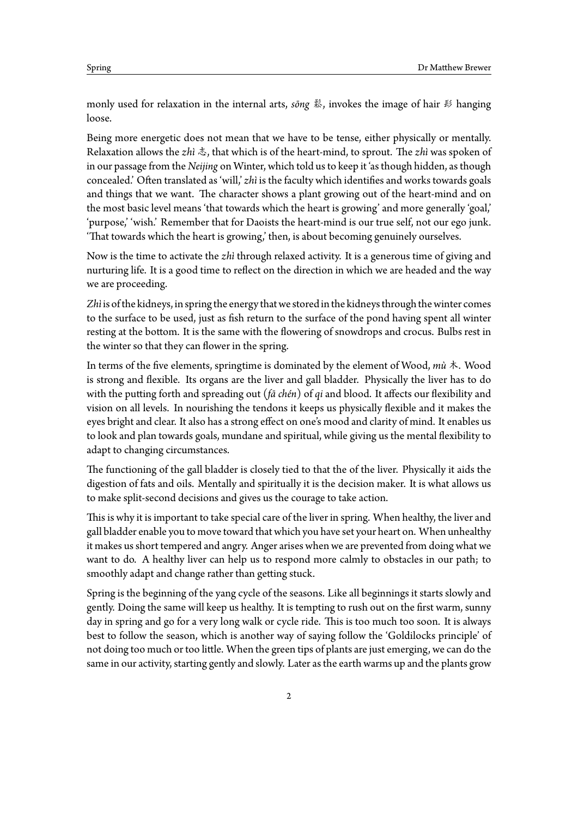monly used for relaxation in the internal arts, *sōng* 鬆, invokes the image of hair 髟 hanging loose.

Being more energetic does not mean that we have to be tense, either physically or mentally. Relaxation allows the *zhì* 志, that which is of the heart-mind, to sprout. The *zhì* was spoken of in our passage from the *Neijing* on Winter, which told us to keep it 'as though hidden, as though concealed.' Often translated as 'will,' *zhì* is the faculty which identifies and works towards goals and things that we want. The character shows a plant growing out of the heart-mind and on the most basic level means 'that towards which the heart is growing' and more generally 'goal,' 'purpose,' 'wish.' Remember that for Daoists the heart-mind is our true self, not our ego junk. 'That towards which the heart is growing,' then, is about becoming genuinely ourselves.

Now is the time to activate the *zhì* through relaxed activity. It is a generous time of giving and nurturing life. It is a good time to reflect on the direction in which we are headed and the way we are proceeding.

Zhì is of the kidneys, in spring the energy that we stored in the kidneys through the winter comes to the surface to be used, just as fish return to the surface of the pond having spent all winter resting at the bottom. It is the same with the flowering of snowdrops and crocus. Bulbs rest in the winter so that they can flower in the spring.

In terms of the five elements, springtime is dominated by the element of Wood, *mù* 木. Wood is strong and flexible. Its organs are the liver and gall bladder. Physically the liver has to do with the putting forth and spreading out (*fā chén*) of *qi* and blood. It affects our flexibility and vision on all levels. In nourishing the tendons it keeps us physically flexible and it makes the eyes bright and clear. It also has a strong effect on one's mood and clarity of mind. It enables us to look and plan towards goals, mundane and spiritual, while giving us the mental flexibility to adapt to changing circumstances.

The functioning of the gall bladder is closely tied to that the of the liver. Physically it aids the digestion of fats and oils. Mentally and spiritually it is the decision maker. It is what allows us to make split-second decisions and gives us the courage to take action.

This is why it is important to take special care of the liver in spring. When healthy, the liver and gall bladder enable you to move toward that which you have set your heart on. When unhealthy it makes us short tempered and angry. Anger arises when we are prevented from doing what we want to do. A healthy liver can help us to respond more calmly to obstacles in our path; to smoothly adapt and change rather than getting stuck.

Spring is the beginning of the yang cycle of the seasons. Like all beginnings it starts slowly and gently. Doing the same will keep us healthy. It is tempting to rush out on the first warm, sunny day in spring and go for a very long walk or cycle ride. This is too much too soon. It is always best to follow the season, which is another way of saying follow the 'Goldilocks principle' of not doing too much or too little. When the green tips of plants are just emerging, we can do the same in our activity, starting gently and slowly. Later as the earth warms up and the plants grow